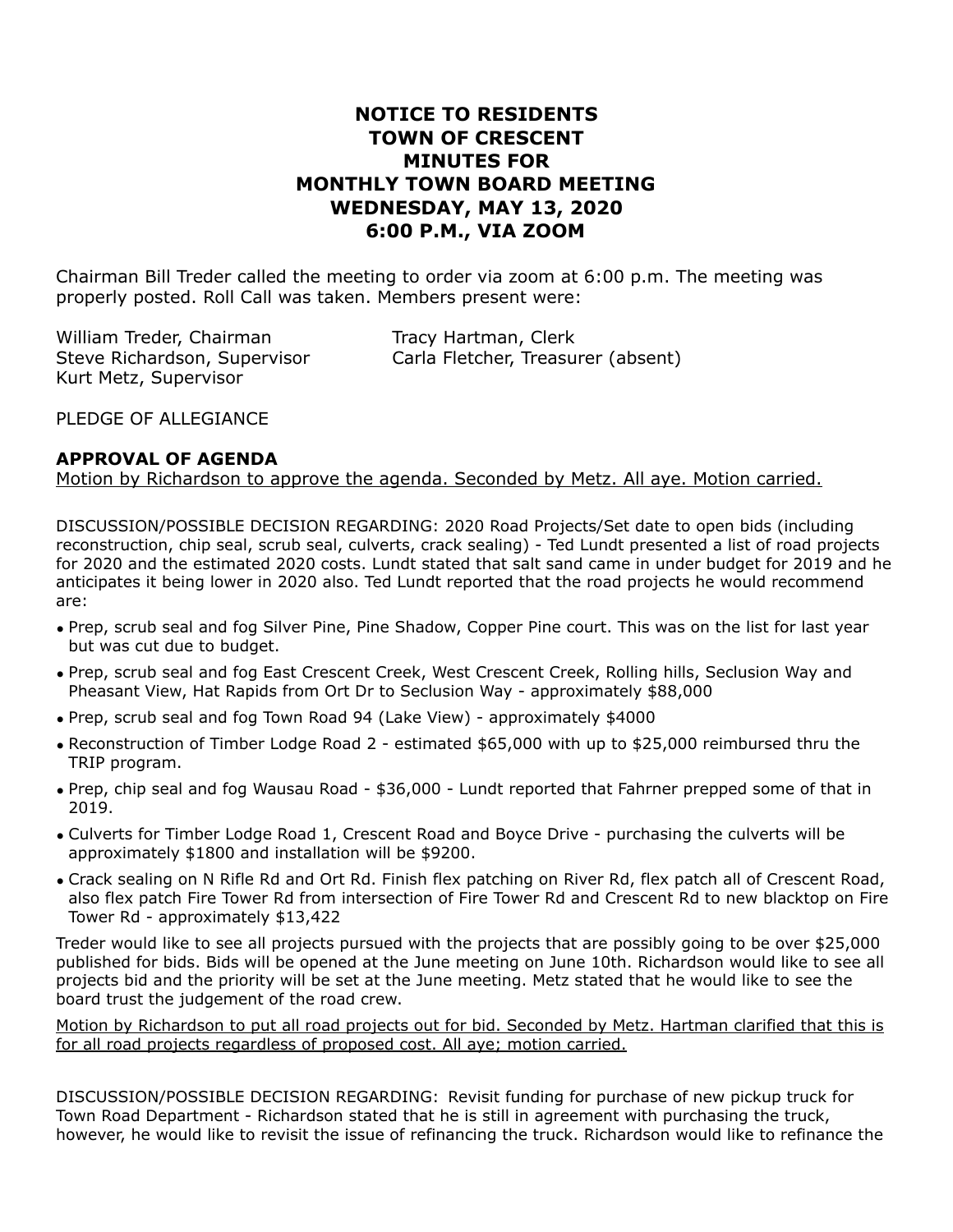# **NOTICE TO RESIDENTS TOWN OF CRESCENT MINUTES FOR MONTHLY TOWN BOARD MEETING WEDNESDAY, MAY 13, 2020 6:00 P.M., VIA ZOOM**

Chairman Bill Treder called the meeting to order via zoom at 6:00 p.m. The meeting was properly posted. Roll Call was taken. Members present were:

William Treder, Chairman Tracy Hartman, Clerk Kurt Metz, Supervisor

Steve Richardson, Supervisor Carla Fletcher, Treasurer (absent)

PLEDGE OF ALLEGIANCE

#### **APPROVAL OF AGENDA**

Motion by Richardson to approve the agenda. Seconded by Metz. All aye. Motion carried.

DISCUSSION/POSSIBLE DECISION REGARDING: 2020 Road Projects/Set date to open bids (including reconstruction, chip seal, scrub seal, culverts, crack sealing) - Ted Lundt presented a list of road projects for 2020 and the estimated 2020 costs. Lundt stated that salt sand came in under budget for 2019 and he anticipates it being lower in 2020 also. Ted Lundt reported that the road projects he would recommend are:

- Prep, scrub seal and fog Silver Pine, Pine Shadow, Copper Pine court. This was on the list for last year but was cut due to budget.
- Prep, scrub seal and fog East Crescent Creek, West Crescent Creek, Rolling hills, Seclusion Way and Pheasant View, Hat Rapids from Ort Dr to Seclusion Way - approximately \$88,000
- Prep, scrub seal and fog Town Road 94 (Lake View) approximately \$4000
- Reconstruction of Timber Lodge Road 2 estimated \$65,000 with up to \$25,000 reimbursed thru the TRIP program.
- Prep, chip seal and fog Wausau Road \$36,000 Lundt reported that Fahrner prepped some of that in 2019.
- Culverts for Timber Lodge Road 1, Crescent Road and Boyce Drive purchasing the culverts will be approximately \$1800 and installation will be \$9200.
- Crack sealing on N Rifle Rd and Ort Rd. Finish flex patching on River Rd, flex patch all of Crescent Road, also flex patch Fire Tower Rd from intersection of Fire Tower Rd and Crescent Rd to new blacktop on Fire Tower Rd - approximately \$13,422

Treder would like to see all projects pursued with the projects that are possibly going to be over \$25,000 published for bids. Bids will be opened at the June meeting on June 10th. Richardson would like to see all projects bid and the priority will be set at the June meeting. Metz stated that he would like to see the board trust the judgement of the road crew.

Motion by Richardson to put all road projects out for bid. Seconded by Metz. Hartman clarified that this is for all road projects regardless of proposed cost. All aye; motion carried.

DISCUSSION/POSSIBLE DECISION REGARDING: Revisit funding for purchase of new pickup truck for Town Road Department - Richardson stated that he is still in agreement with purchasing the truck, however, he would like to revisit the issue of refinancing the truck. Richardson would like to refinance the